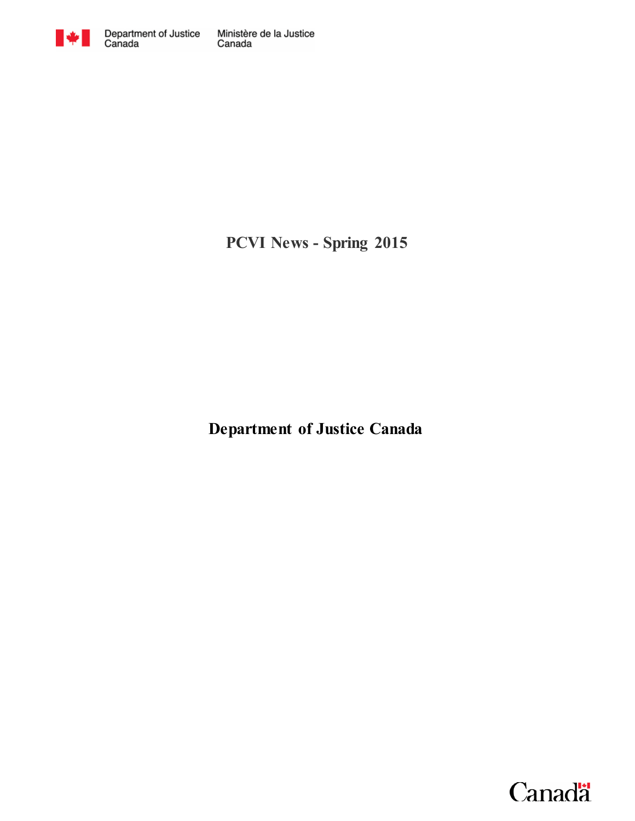

**PCVI News - Spring 2015**

**Department of Justice Canada**

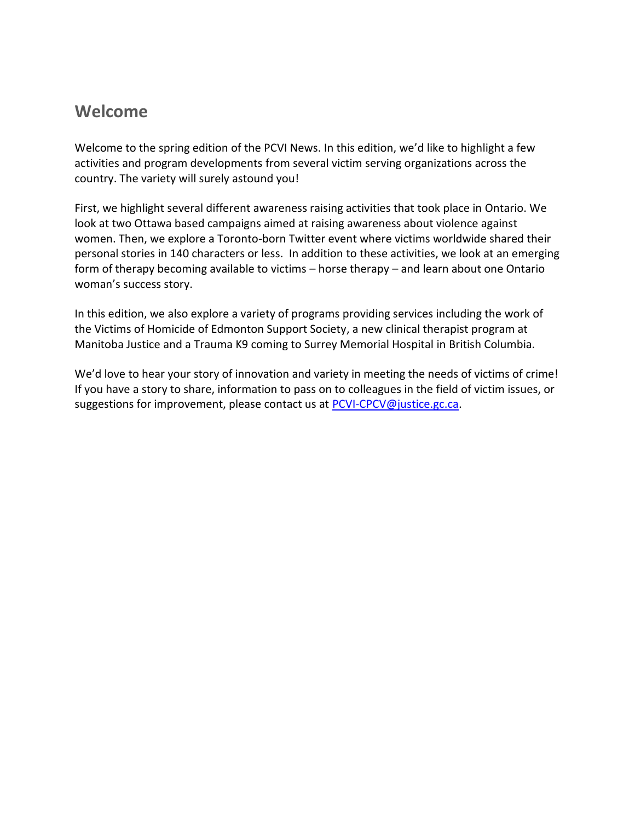#### **Welcome**

Welcome to the spring edition of the PCVI News. In this edition, we'd like to highlight a few activities and program developments from several victim serving organizations across the country. The variety will surely astound you!

First, we highlight several different awareness raising activities that took place in Ontario. We look at two Ottawa based campaigns aimed at raising awareness about violence against women. Then, we explore a Toronto-born Twitter event where victims worldwide shared their personal stories in 140 characters or less. In addition to these activities, we look at an emerging form of therapy becoming available to victims – horse therapy – and learn about one Ontario woman's success story.

In this edition, we also explore a variety of programs providing services including the work of the Victims of Homicide of Edmonton Support Society, a new clinical therapist program at Manitoba Justice and a Trauma K9 coming to Surrey Memorial Hospital in British Columbia.

We'd love to hear your story of innovation and variety in meeting the needs of victims of crime! If you have a story to share, information to pass on to colleagues in the field of victim issues, or suggestions for improvement, please contact us at [PCVI-CPCV@justice.gc.ca.](mailto:PCVI-CPCV@justice.gc.ca)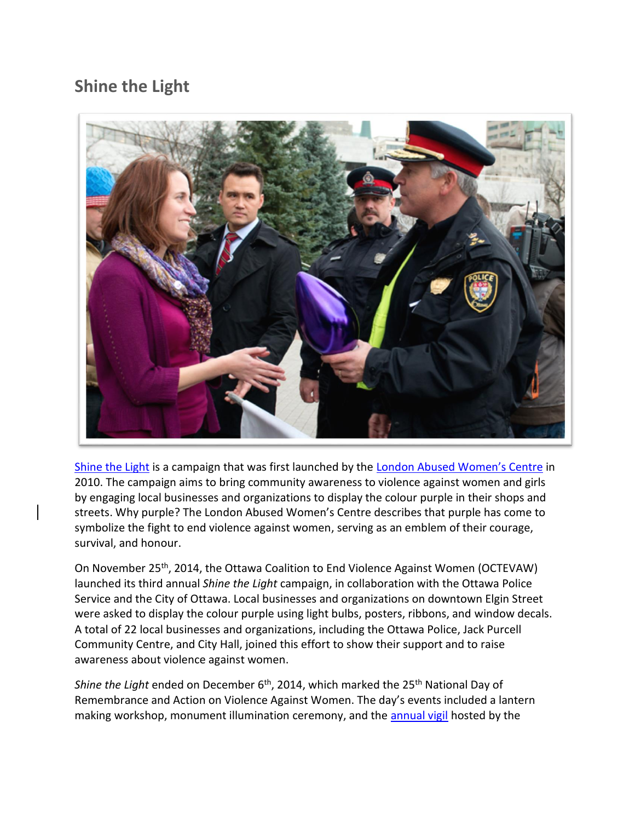### **Shine the Light**



[Shine the Light](http://www.octevaw-cocvff.ca/projects/shine-light) is a campaign that was first launched by the [London Abused Women's Centre](http://lawc.on.ca/shinethelight/) in 2010. The campaign aims to bring community awareness to violence against women and girls by engaging local businesses and organizations to display the colour purple in their shops and streets. Why purple? The London Abused Women's Centre describes that purple has come to symbolize the fight to end violence against women, serving as an emblem of their courage, survival, and honour.

On November 25<sup>th</sup>, 2014, the Ottawa Coalition to End Violence Against Women (OCTEVAW) launched its third annual *Shine the Light* campaign, in collaboration with the Ottawa Police Service and the City of Ottawa. Local businesses and organizations on downtown Elgin Street were asked to display the colour purple using light bulbs, posters, ribbons, and window decals. A total of 22 local businesses and organizations, including the Ottawa Police, Jack Purcell Community Centre, and City Hall, joined this effort to show their support and to raise awareness about violence against women.

*Shine the Light* ended on December 6<sup>th</sup>, 2014, which marked the 25<sup>th</sup> National Day of Remembrance and Action on Violence Against Women. The day's events included a lantern making workshop, monument illumination ceremony, and the [annual vigil](http://ottawawen.wordpress.com/december-6th-vigil/) hosted by the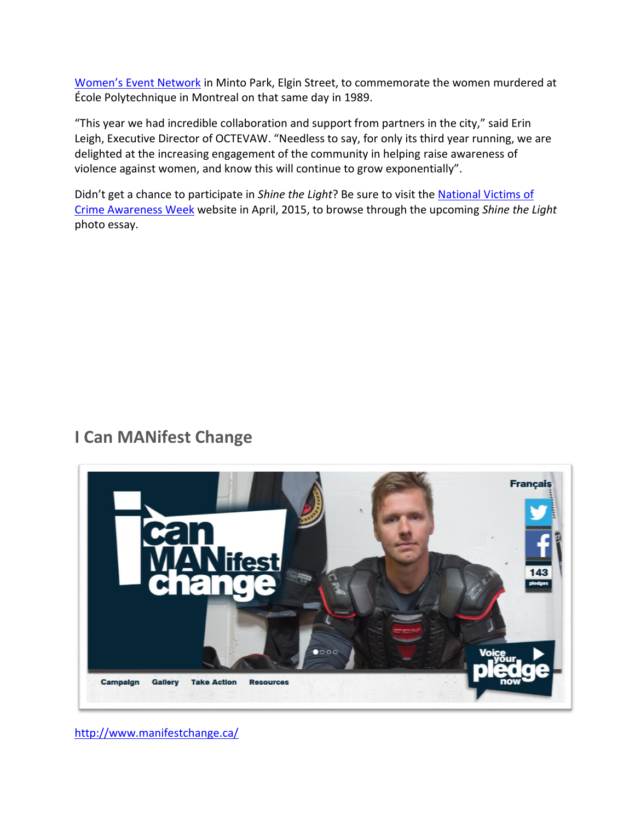[Women's Event Network](http://ottawawen.wordpress.com/) in Minto Park, Elgin Street, to commemorate the women murdered at École Polytechnique in Montreal on that same day in 1989.

"This year we had incredible collaboration and support from partners in the city," said Erin Leigh, Executive Director of OCTEVAW. "Needless to say, for only its third year running, we are delighted at the increasing engagement of the community in helping raise awareness of violence against women, and know this will continue to grow exponentially".

Didn't get a chance to participate in *Shine the Light*? Be sure to visit the [National Victims of](http://www.victimsweek.gc.ca/)  [Crime Awareness Week](http://www.victimsweek.gc.ca/) website in April, 2015, to browse through the upcoming *Shine the Light* photo essay.

### **I Can MANifest Change**



<http://www.manifestchange.ca/>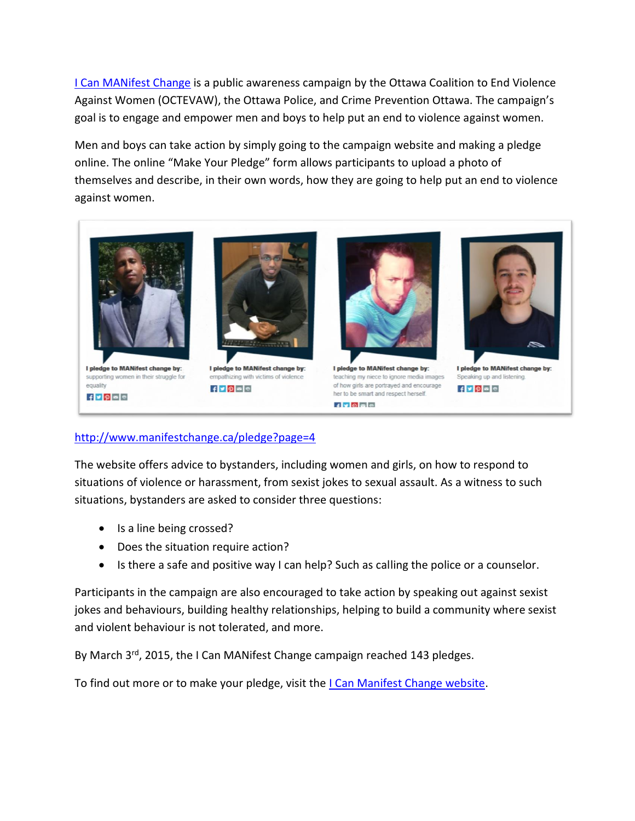[I Can MANifest Change](http://www.manifestchange.ca/about-campaign) is a public awareness campaign by the Ottawa Coalition to End Violence Against Women (OCTEVAW), the Ottawa Police, and Crime Prevention Ottawa. The campaign's goal is to engage and empower men and boys to help put an end to violence against women.

Men and boys can take action by simply going to the campaign website and making a pledge online. The online "Make Your Pledge" form allows participants to upload a photo of themselves and describe, in their own words, how they are going to help put an end to violence against women.



 $f'$   $p$   $q$   $q$ 

# $f \times \rho = e$

her to be smart and respect herself.  $f$  alala

 $f\nightharpoonup$ gee

#### <http://www.manifestchange.ca/pledge?page=4>

The website offers advice to bystanders, including women and girls, on how to respond to situations of violence or harassment, from sexist jokes to sexual assault. As a witness to such situations, bystanders are asked to consider three questions:

- Is a line being crossed?
- Does the situation require action?
- Is there a safe and positive way I can help? Such as calling the police or a counselor.

Participants in the campaign are also encouraged to take action by speaking out against sexist jokes and behaviours, building healthy relationships, helping to build a community where sexist and violent behaviour is not tolerated, and more.

By March 3<sup>rd</sup>, 2015, the I Can MANifest Change campaign reached 143 pledges.

To find out more or to make your pledge, visit the [I Can Manifest Change website.](http://www.manifestchange.ca/)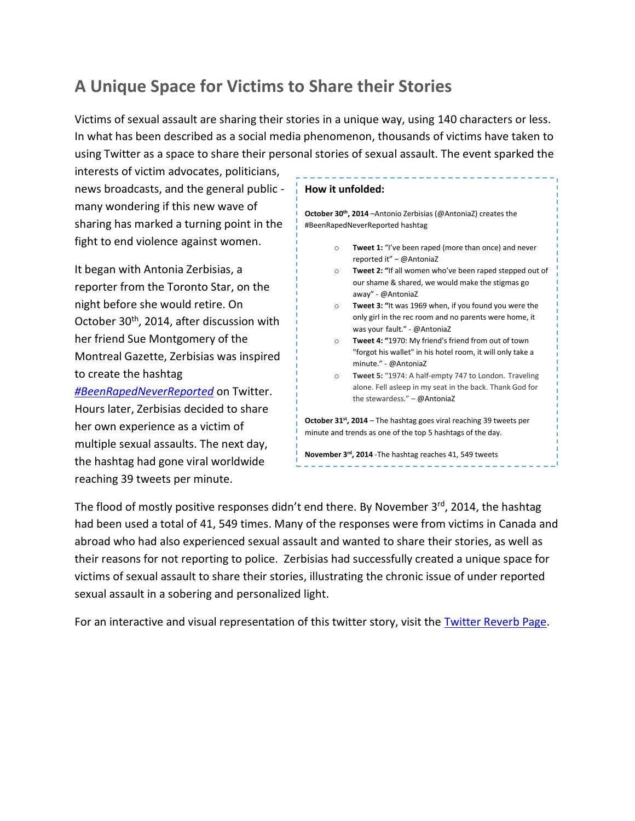# **A Unique Space for Victims to Share their Stories**

Victims of sexual assault are sharing their stories in a unique way, using 140 characters or less. In what has been described as a social media phenomenon, thousands of victims have taken to using Twitter as a space to share their personal stories of sexual assault. The event sparked the

interests of victim advocates, politicians, news broadcasts, and the general public many wondering if this new wave of sharing has marked a turning point in the fight to end violence against women.

It began with Antonia Zerbisias, a reporter from the Toronto Star, on the night before she would retire. On October 30<sup>th</sup>, 2014, after discussion with her friend Sue Montgomery of the Montreal Gazette, Zerbisias was inspired to create the hashtag

*[#BeenRapedNeverReported](https://twitter.com/search?q=%23BeenRapedNeverReported)* on Twitter. Hours later, Zerbisias decided to share her own experience as a victim of multiple sexual assaults. The next day, the hashtag had gone viral worldwide reaching 39 tweets per minute.

![](_page_5_Figure_5.jpeg)

The flood of mostly positive responses didn't end there. By November 3rd, 2014, the hashtag had been used a total of 41, 549 times. Many of the responses were from victims in Canada and abroad who had also experienced sexual assault and wanted to share their stories, as well as their reasons for not reporting to police. Zerbisias had successfully created a unique space for victims of sexual assault to share their stories, illustrating the chronic issue of under reported sexual assault in a sobering and personalized light.

For an interactive and visual representation of this twitter story, visit the [Twitter Reverb Page.](http://reverb.guru/view/043298384024653012)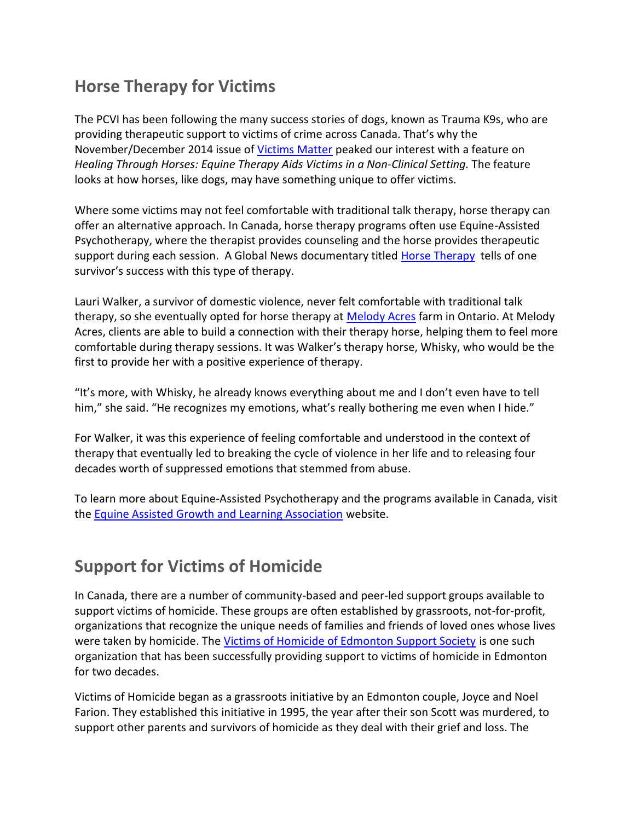## **Horse Therapy for Victims**

The PCVI has been following the many success stories of dogs, known as Trauma K9s, who are providing therapeutic support to victims of crime across Canada. That's why the November/December 2014 issue of [Victims Matter](http://www.victimsofviolence.on.ca/publications/Victim%20Matters.%20Volume%205,%20Issue%202,%20November%202014.pdf) peaked our interest with a feature on *Healing Through Horses: Equine Therapy Aids Victims in a Non-Clinical Setting. The feature* looks at how horses, like dogs, may have something unique to offer victims.

Where some victims may not feel comfortable with traditional talk therapy, horse therapy can offer an alternative approach. In Canada, horse therapy programs often use Equine-Assisted Psychotherapy, where the therapist provides counseling and the horse provides therapeutic support during each session. A Global News documentary titled [Horse Therapy](http://globalnews.ca/video/1105637/full-story-horse-therapy) tells of one survivor's success with this type of therapy.

Lauri Walker, a survivor of domestic violence, never felt comfortable with traditional talk therapy, so she eventually opted for horse therapy at [Melody Acres](http://www.melodyacres.com/) farm in Ontario. At Melody Acres, clients are able to build a connection with their therapy horse, helping them to feel more comfortable during therapy sessions. It was Walker's therapy horse, Whisky, who would be the first to provide her with a positive experience of therapy.

"It's more, with Whisky, he already knows everything about me and I don't even have to tell him," she said. "He recognizes my emotions, what's really bothering me even when I hide."

For Walker, it was this experience of feeling comfortable and understood in the context of therapy that eventually led to breaking the cycle of violence in her life and to releasing four decades worth of suppressed emotions that stemmed from abuse.

To learn more about Equine-Assisted Psychotherapy and the programs available in Canada, visit the [Equine Assisted Growth and Learning Association](http://www.eagala.org/) website.

### **Support for Victims of Homicide**

In Canada, there are a number of community-based and peer-led support groups available to support victims of homicide. These groups are often established by grassroots, not-for-profit, organizations that recognize the unique needs of families and friends of loved ones whose lives were taken by homicide. The [Victims of Homicide of Edmonton Support Society](http://www.victimsofhomicide.org/) is one such organization that has been successfully providing support to victims of homicide in Edmonton for two decades.

Victims of Homicide began as a grassroots initiative by an Edmonton couple, Joyce and Noel Farion. They established this initiative in 1995, the year after their son Scott was murdered, to support other parents and survivors of homicide as they deal with their grief and loss. The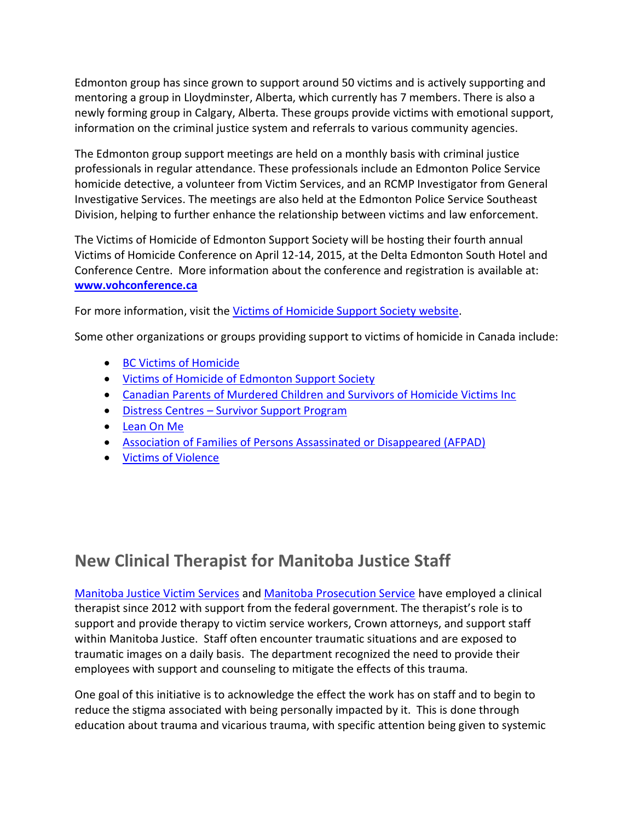Edmonton group has since grown to support around 50 victims and is actively supporting and mentoring a group in Lloydminster, Alberta, which currently has 7 members. There is also a newly forming group in Calgary, Alberta. These groups provide victims with emotional support, information on the criminal justice system and referrals to various community agencies.

The Edmonton group support meetings are held on a monthly basis with criminal justice professionals in regular attendance. These professionals include an Edmonton Police Service homicide detective, a volunteer from Victim Services, and an RCMP Investigator from General Investigative Services. The meetings are also held at the Edmonton Police Service Southeast Division, helping to further enhance the relationship between victims and law enforcement.

The Victims of Homicide of Edmonton Support Society will be hosting their fourth annual Victims of Homicide Conference on April 12-14, 2015, at the Delta Edmonton South Hotel and Conference Centre. More information about the conference and registration is available at: **[www.vohconference.ca](http://www.vohconference.ca/)**

For more information, visit the [Victims of Homicide Support Society website.](http://www.victimsofhomicide.org/)

Some other organizations or groups providing support to victims of homicide in Canada include:

- [BC Victims of Homicide](http://www.bcvictimsofhomicide.com/)
- [Victims of Homicide of Edmonton Support Society](http://www.victimsofhomicide.ca/)
- [Canadian Parents of Murdered Children and Survivors of Homicide Victims Inc](http://www.cpomc.ca/)
- Distress Centres [Survivor Support Program](https://torontodistresscentre.com/survivor-support)
- [Lean On Me](http://www.lean-on-me.org/)
- [Association of Families of Persons Assassinated or Disappeared \(AFPAD\)](http://www.afpad.ca/)
- [Victims of Violence](http://victimsofviolence.on.ca/)

## **New Clinical Therapist for Manitoba Justice Staff**

Manitoba Justice [Victim Services](http://www.gov.mb.ca/justice/victims/services/) and [Manitoba Prosecution Service](http://www.gov.mb.ca/justice/prosecutions/index.html) have employed a clinical therapist since 2012 with support from the federal government. The therapist's role is to support and provide therapy to victim service workers, Crown attorneys, and support staff within Manitoba Justice. Staff often encounter traumatic situations and are exposed to traumatic images on a daily basis. The department recognized the need to provide their employees with support and counseling to mitigate the effects of this trauma.

One goal of this initiative is to acknowledge the effect the work has on staff and to begin to reduce the stigma associated with being personally impacted by it. This is done through education about trauma and vicarious trauma, with specific attention being given to systemic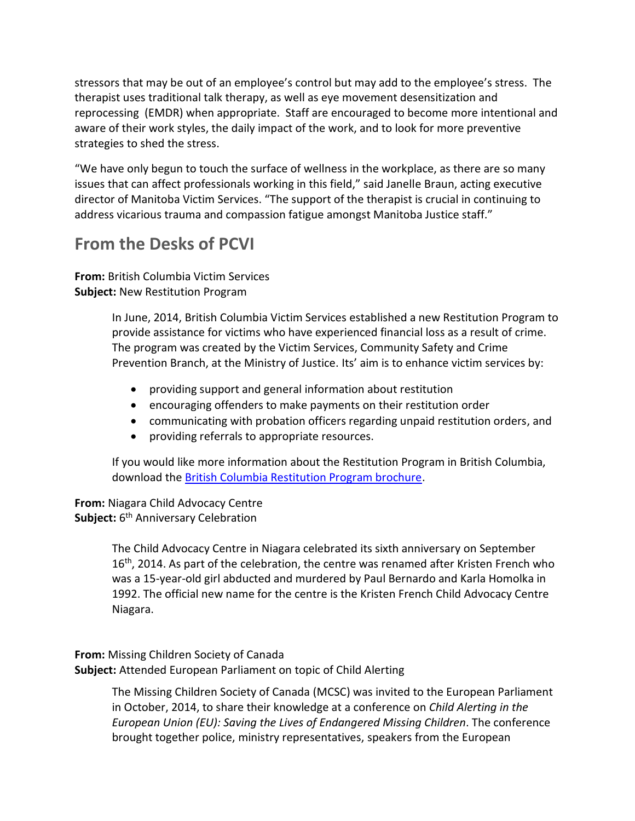stressors that may be out of an employee's control but may add to the employee's stress. The therapist uses traditional talk therapy, as well as eye movement desensitization and reprocessing (EMDR) when appropriate. Staff are encouraged to become more intentional and aware of their work styles, the daily impact of the work, and to look for more preventive strategies to shed the stress.

"We have only begun to touch the surface of wellness in the workplace, as there are so many issues that can affect professionals working in this field," said Janelle Braun, acting executive director of Manitoba Victim Services. "The support of the therapist is crucial in continuing to address vicarious trauma and compassion fatigue amongst Manitoba Justice staff."

## **From the Desks of PCVI**

**From:** British Columbia Victim Services **Subject:** New Restitution Program

> In June, 2014, British Columbia Victim Services established a new Restitution Program to provide assistance for victims who have experienced financial loss as a result of crime. The program was created by the Victim Services, Community Safety and Crime Prevention Branch, at the Ministry of Justice. Its' aim is to enhance victim services by:

- providing support and general information about restitution
- encouraging offenders to make payments on their restitution order
- communicating with probation officers regarding unpaid restitution orders, and
- providing referrals to appropriate resources.

If you would like more information about the Restitution Program in British Columbia, download the [British Columbia Restitution Program brochure.](http://www.pssg.gov.bc.ca/victimservices/shareddocs/pubs/RestitutionBrochureWEB.pdf)

**From:** Niagara Child Advocacy Centre **Subject:** 6 th Anniversary Celebration

> The Child Advocacy Centre in Niagara celebrated its sixth anniversary on September 16<sup>th</sup>, 2014. As part of the celebration, the centre was renamed after Kristen French who was a 15-year-old girl abducted and murdered by Paul Bernardo and Karla Homolka in 1992. The official new name for the centre is the Kristen French Child Advocacy Centre Niagara.

**From:** Missing Children Society of Canada **Subject:** Attended European Parliament on topic of Child Alerting

> The Missing Children Society of Canada (MCSC) was invited to the European Parliament in October, 2014, to share their knowledge at a conference on *Child Alerting in the European Union (EU): Saving the Lives of Endangered Missing Children*. The conference brought together police, ministry representatives, speakers from the European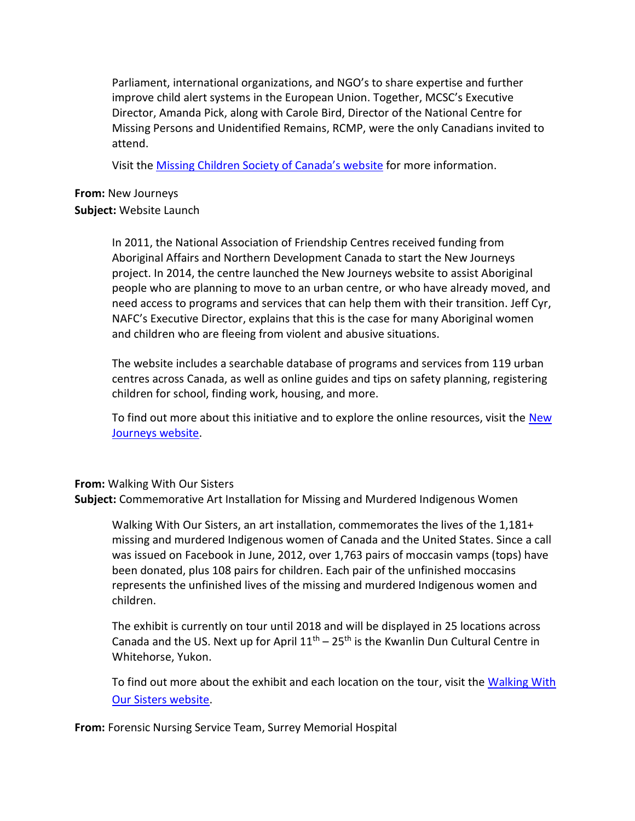Parliament, international organizations, and NGO's to share expertise and further improve child alert systems in the European Union. Together, MCSC's Executive Director, Amanda Pick, along with Carole Bird, Director of the National Centre for Missing Persons and Unidentified Remains, RCMP, were the only Canadians invited to attend.

Visit the [Missing Children Society of Canada's web](http://mcsc.ca/news/missing-children-society-of-canada-executive-director-invited-to-the-european-parliament/)site for more information.

#### **From:** New Journeys

#### **Subject:** Website Launch

In 2011, the National Association of Friendship Centres received funding from Aboriginal Affairs and Northern Development Canada to start the New Journeys project. In 2014, the centre launched the New Journeys website to assist Aboriginal people who are planning to move to an urban centre, or who have already moved, and need access to programs and services that can help them with their transition. Jeff Cyr, NAFC's Executive Director, explains that this is the case for many Aboriginal women and children who are fleeing from violent and abusive situations.

The website includes a searchable database of programs and services from 119 urban centres across Canada, as well as online guides and tips on safety planning, registering children for school, finding work, housing, and more.

To find out more about this initiative and to explore the online resources, visit the [New](http://newjourneys.ca/)  [Journeys website.](http://newjourneys.ca/)

#### **From:** Walking With Our Sisters

**Subject:** Commemorative Art Installation for Missing and Murdered Indigenous Women

Walking With Our Sisters, an art installation, commemorates the lives of the 1,181+ missing and murdered Indigenous women of Canada and the United States. Since a call was issued on Facebook in June, 2012, over 1,763 pairs of moccasin vamps (tops) have been donated, plus 108 pairs for children. Each pair of the unfinished moccasins represents the unfinished lives of the missing and murdered Indigenous women and children.

The exhibit is currently on tour until 2018 and will be displayed in 25 locations across Canada and the US. Next up for April  $11<sup>th</sup> - 25<sup>th</sup>$  is the Kwanlin Dun Cultural Centre in Whitehorse, Yukon.

To find out more about the exhibit and each location on the tour, visit the Walking With [Our Sisters website.](http://walkingwithoursisters.ca/about/)

**From:** Forensic Nursing Service Team, Surrey Memorial Hospital